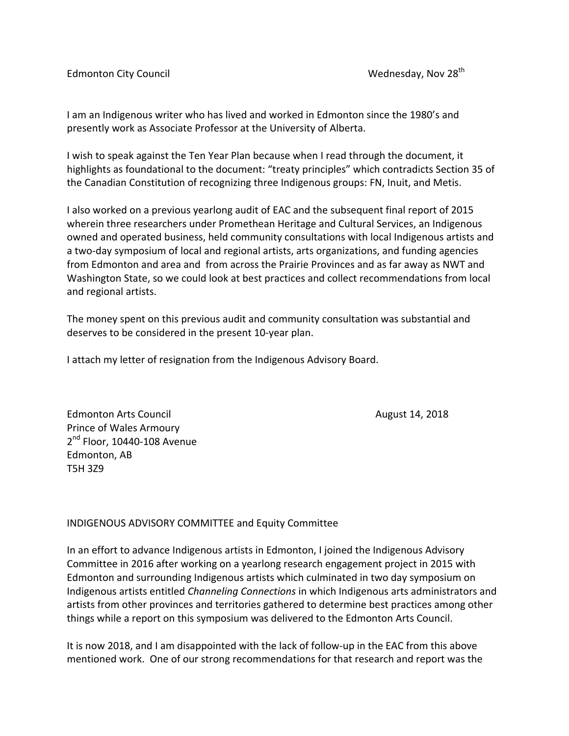Edmonton City Council **Edmonton City Council** Wednesday, Nov 28<sup>th</sup>

I am an Indigenous writer who has lived and worked in Edmonton since the 1980's and presently work as Associate Professor at the University of Alberta.

I wish to speak against the Ten Year Plan because when I read through the document, it highlights as foundational to the document: "treaty principles" which contradicts Section 35 of the Canadian Constitution of recognizing three Indigenous groups: FN, Inuit, and Metis.

I also worked on a previous yearlong audit of EAC and the subsequent final report of 2015 wherein three researchers under Promethean Heritage and Cultural Services, an Indigenous owned and operated business, held community consultations with local Indigenous artists and a two-day symposium of local and regional artists, arts organizations, and funding agencies from Edmonton and area and from across the Prairie Provinces and as far away as NWT and Washington State, so we could look at best practices and collect recommendations from local and regional artists.

The money spent on this previous audit and community consultation was substantial and deserves to be considered in the present 10-year plan.

I attach my letter of resignation from the Indigenous Advisory Board.

Edmonton Arts Council **August 14, 2018 August 14, 2018** Prince of Wales Armoury  $2<sup>nd</sup>$  Floor, 10440-108 Avenue Edmonton, AB T5H 3Z9

## INDIGENOUS ADVISORY COMMITTEE and Equity Committee

In an effort to advance Indigenous artists in Edmonton, I joined the Indigenous Advisory Committee in 2016 after working on a yearlong research engagement project in 2015 with Edmonton and surrounding Indigenous artists which culminated in two day symposium on Indigenous artists entitled *Channeling Connections* in which Indigenous arts administrators and artists from other provinces and territories gathered to determine best practices among other things while a report on this symposium was delivered to the Edmonton Arts Council.

It is now 2018, and I am disappointed with the lack of follow-up in the EAC from this above mentioned work. One of our strong recommendations for that research and report was the